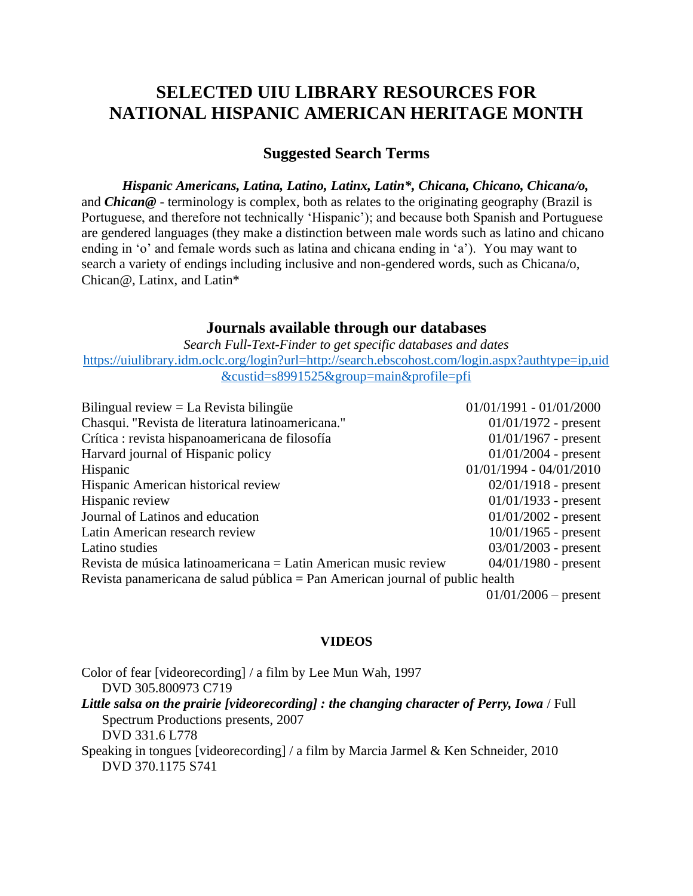# **SELECTED UIU LIBRARY RESOURCES FOR NATIONAL HISPANIC AMERICAN HERITAGE MONTH**

# **Suggested Search Terms**

*Hispanic Americans, Latina, Latino, Latinx, Latin\*, Chicana, Chicano, Chicana/o,*  and *Chican@* - terminology is complex, both as relates to the originating geography (Brazil is Portuguese, and therefore not technically 'Hispanic'); and because both Spanish and Portuguese are gendered languages (they make a distinction between male words such as latino and chicano ending in 'o' and female words such as latina and chicana ending in 'a'). You may want to search a variety of endings including inclusive and non-gendered words, such as Chicana/o, Chican@, Latinx, and Latin\*

### **Journals available through our databases**

*Search Full-Text-Finder to get specific databases and dates* [https://uiulibrary.idm.oclc.org/login?url=http://search.ebscohost.com/login.aspx?authtype=ip,uid](https://uiulibrary.idm.oclc.org/login?url=http://search.ebscohost.com/login.aspx?authtype=ip,uid&custid=s8991525&group=main&profile=pfi) [&custid=s8991525&group=main&profile=pfi](https://uiulibrary.idm.oclc.org/login?url=http://search.ebscohost.com/login.aspx?authtype=ip,uid&custid=s8991525&group=main&profile=pfi)

| Bilingual review $=$ La Revista bilingue                                      | $01/01/1991 - 01/01/2000$ |
|-------------------------------------------------------------------------------|---------------------------|
| Chasqui. "Revista de literatura latinoamericana."                             | $01/01/1972$ - present    |
| Crítica: revista hispanoamericana de filosofía                                | $01/01/1967$ - present    |
| Harvard journal of Hispanic policy                                            | $01/01/2004$ - present    |
| Hispanic                                                                      | $01/01/1994 - 04/01/2010$ |
| Hispanic American historical review                                           | $02/01/1918$ - present    |
| Hispanic review                                                               | $01/01/1933$ - present    |
| Journal of Latinos and education                                              | $01/01/2002$ - present    |
| Latin American research review                                                | $10/01/1965$ - present    |
| Latino studies                                                                | $03/01/2003$ - present    |
| Revista de música latinoamericana = Latin American music review               | $04/01/1980$ - present    |
| Revista panamericana de salud pública = Pan American journal of public health |                           |
|                                                                               | $01/01/2006$ – present    |

#### **VIDEOS**

Color of fear [videorecording] / a film by Lee Mun Wah, 1997 DVD 305.800973 C719 *Little salsa on the prairie [videorecording] : the changing character of Perry, Iowa* / Full Spectrum Productions presents, 2007 DVD 331.6 L778 Speaking in tongues [videorecording] / a film by Marcia Jarmel & Ken Schneider, 2010 DVD 370.1175 S741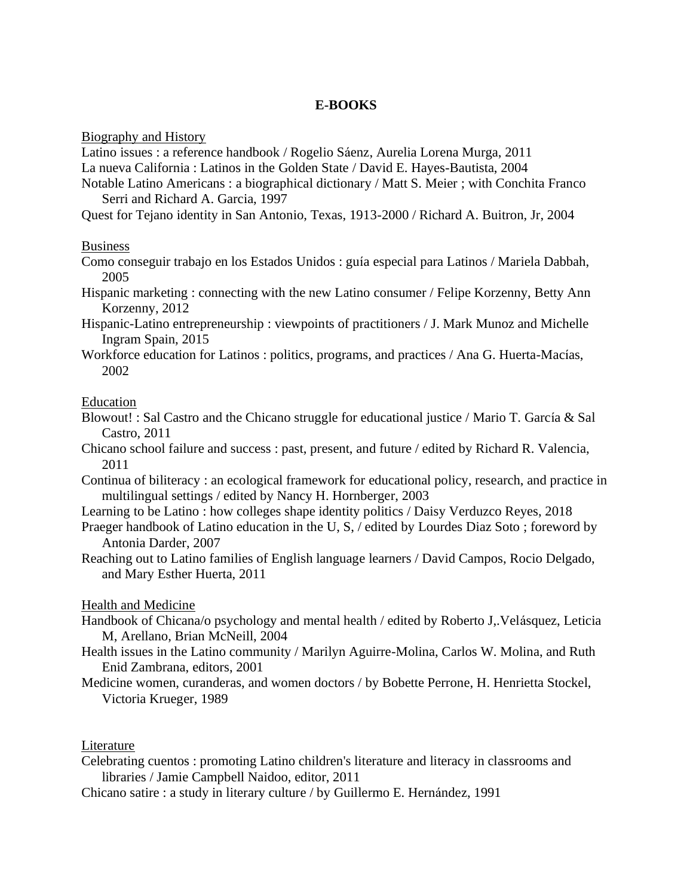## **E-BOOKS**

Biography and History

Latino issues : a reference handbook / Rogelio Sáenz, Aurelia Lorena Murga, 2011 La nueva California : Latinos in the Golden State / David E. Hayes-Bautista, 2004

Notable Latino Americans : a biographical dictionary / Matt S. Meier ; with Conchita Franco Serri and Richard A. Garcia, 1997

Quest for Tejano identity in San Antonio, Texas, 1913-2000 / Richard A. Buitron, Jr, 2004

### Business

Como conseguir trabajo en los Estados Unidos : guía especial para Latinos / Mariela Dabbah, 2005

Hispanic marketing : connecting with the new Latino consumer / Felipe Korzenny, Betty Ann Korzenny, 2012

- Hispanic-Latino entrepreneurship : viewpoints of practitioners / J. Mark Munoz and Michelle Ingram Spain, 2015
- Workforce education for Latinos : politics, programs, and practices / Ana G. Huerta-Macías, 2002

### Education

- Blowout! : Sal Castro and the Chicano struggle for educational justice / Mario T. García & Sal Castro, 2011
- Chicano school failure and success : past, present, and future / edited by Richard R. Valencia, 2011
- Continua of biliteracy : an ecological framework for educational policy, research, and practice in multilingual settings / edited by Nancy H. Hornberger, 2003
- Learning to be Latino : how colleges shape identity politics / Daisy Verduzco Reyes, 2018
- Praeger handbook of Latino education in the U, S, / edited by Lourdes Diaz Soto ; foreword by Antonia Darder, 2007
- Reaching out to Latino families of English language learners / David Campos, Rocio Delgado, and Mary Esther Huerta, 2011

### Health and Medicine

- Handbook of Chicana/o psychology and mental health / edited by Roberto J,.Velásquez, Leticia M, Arellano, Brian McNeill, 2004
- Health issues in the Latino community / Marilyn Aguirre-Molina, Carlos W. Molina, and Ruth Enid Zambrana, editors, 2001
- Medicine women, curanderas, and women doctors / by Bobette Perrone, H. Henrietta Stockel, Victoria Krueger, 1989

### Literature

- Celebrating cuentos : promoting Latino children's literature and literacy in classrooms and libraries / Jamie Campbell Naidoo, editor, 2011
- Chicano satire : a study in literary culture / by Guillermo E. Hernández, 1991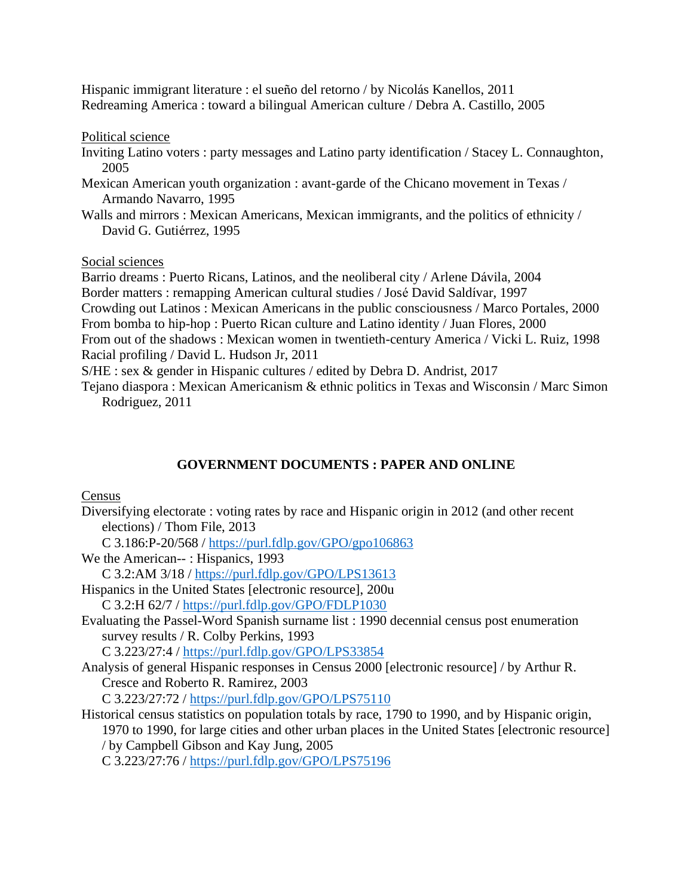Hispanic immigrant literature : el sueño del retorno / by Nicolás Kanellos, 2011 Redreaming America : toward a bilingual American culture / Debra A. Castillo, 2005

Political science

- Inviting Latino voters : party messages and Latino party identification / Stacey L. Connaughton, 2005
- Mexican American youth organization : avant-garde of the Chicano movement in Texas / Armando Navarro, 1995
- Walls and mirrors : Mexican Americans, Mexican immigrants, and the politics of ethnicity / David G. Gutiérrez, 1995

Social sciences

Barrio dreams : Puerto Ricans, Latinos, and the neoliberal city / Arlene Dávila, 2004 Border matters : remapping American cultural studies / José David Saldívar, 1997 Crowding out Latinos : Mexican Americans in the public consciousness / Marco Portales, 2000 From bomba to hip-hop : Puerto Rican culture and Latino identity / Juan Flores, 2000 From out of the shadows : Mexican women in twentieth-century America / Vicki L. Ruiz, 1998 Racial profiling / David L. Hudson Jr, 2011

S/HE : sex & gender in Hispanic cultures / edited by Debra D. Andrist, 2017

Tejano diaspora : Mexican Americanism & ethnic politics in Texas and Wisconsin / Marc Simon Rodriguez, 2011

# **GOVERNMENT DOCUMENTS : PAPER AND ONLINE**

Census

- Diversifying electorate : voting rates by race and Hispanic origin in 2012 (and other recent elections) / Thom File, 2013
	- C 3.186:P-20/568 /<https://purl.fdlp.gov/GPO/gpo106863>

We the American-- : Hispanics, 1993

C 3.2:AM 3/18 /<https://purl.fdlp.gov/GPO/LPS13613>

Hispanics in the United States [electronic resource], 200u

C 3.2:H 62/7 /<https://purl.fdlp.gov/GPO/FDLP1030>

Evaluating the Passel-Word Spanish surname list : 1990 decennial census post enumeration survey results / R. Colby Perkins, 1993

C 3.223/27:4 /<https://purl.fdlp.gov/GPO/LPS33854>

Analysis of general Hispanic responses in Census 2000 [electronic resource] / by Arthur R. Cresce and Roberto R. Ramirez, 2003

C 3.223/27:72 /<https://purl.fdlp.gov/GPO/LPS75110>

Historical census statistics on population totals by race, 1790 to 1990, and by Hispanic origin, 1970 to 1990, for large cities and other urban places in the United States [electronic resource] / by Campbell Gibson and Kay Jung, 2005 C 3.223/27:76 /<https://purl.fdlp.gov/GPO/LPS75196>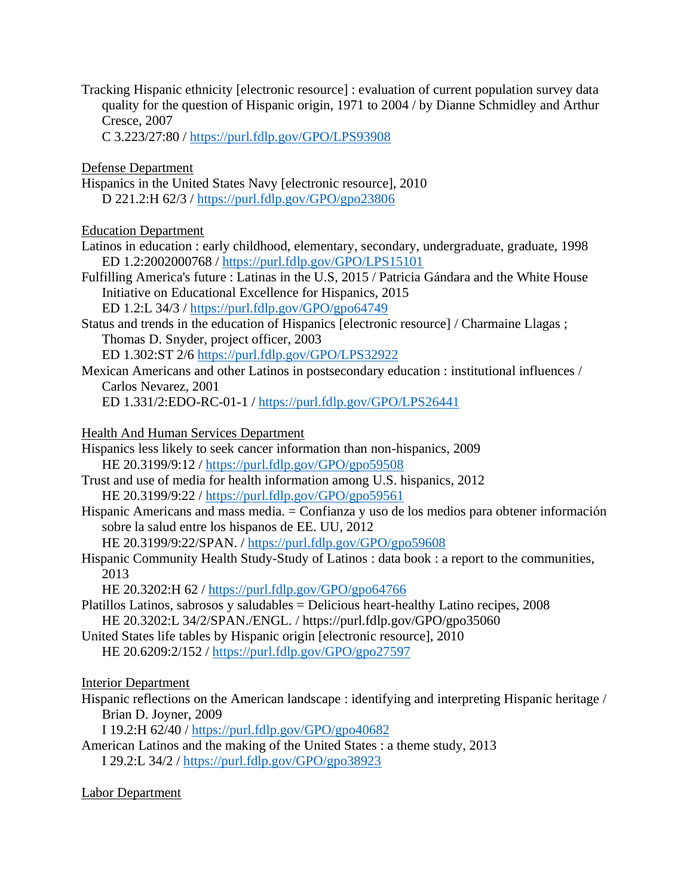Tracking Hispanic ethnicity [electronic resource] : evaluation of current population survey data quality for the question of Hispanic origin, 1971 to 2004 / by Dianne Schmidley and Arthur Cresce, 2007

C 3.223/27:80 /<https://purl.fdlp.gov/GPO/LPS93908>

### Defense Department

Hispanics in the United States Navy [electronic resource], 2010 D 221.2:H 62/3 /<https://purl.fdlp.gov/GPO/gpo23806>

### Education Department

- Latinos in education : early childhood, elementary, secondary, undergraduate, graduate, 1998 ED 1.2:2002000768 /<https://purl.fdlp.gov/GPO/LPS15101>
- Fulfilling America's future : Latinas in the U.S, 2015 / Patricia Gándara and the White House Initiative on Educational Excellence for Hispanics, 2015

ED 1.2:L 34/3 / <https://purl.fdlp.gov/GPO/gpo64749>

- Status and trends in the education of Hispanics [electronic resource] / Charmaine Llagas ; Thomas D. Snyder, project officer, 2003 ED 1.302:ST 2/6<https://purl.fdlp.gov/GPO/LPS32922>
- Mexican Americans and other Latinos in postsecondary education : institutional influences / Carlos Nevarez, 2001

ED 1.331/2:EDO-RC-01-1 /<https://purl.fdlp.gov/GPO/LPS26441>

### Health And Human Services Department

- Hispanics less likely to seek cancer information than non-hispanics, 2009 HE 20.3199/9:12 /<https://purl.fdlp.gov/GPO/gpo59508>
- Trust and use of media for health information among U.S. hispanics, 2012 HE 20.3199/9:22 /<https://purl.fdlp.gov/GPO/gpo59561>
- Hispanic Americans and mass media. = Confianza y uso de los medios para obtener información sobre la salud entre los hispanos de EE. UU, 2012

HE 20.3199/9:22/SPAN. /<https://purl.fdlp.gov/GPO/gpo59608>

Hispanic Community Health Study-Study of Latinos : data book : a report to the communities, 2013

HE 20.3202:H 62 /<https://purl.fdlp.gov/GPO/gpo64766>

- Platillos Latinos, sabrosos y saludables = Delicious heart-healthy Latino recipes, 2008 HE 20.3202:L 34/2/SPAN./ENGL. / https://purl.fdlp.gov/GPO/gpo35060
- United States life tables by Hispanic origin [electronic resource], 2010 HE 20.6209:2/152 /<https://purl.fdlp.gov/GPO/gpo27597>

# Interior Department

Hispanic reflections on the American landscape : identifying and interpreting Hispanic heritage / Brian D. Joyner, 2009

I 19.2:H 62/40 /<https://purl.fdlp.gov/GPO/gpo40682>

American Latinos and the making of the United States : a theme study, 2013 I 29.2:L 34/2 /<https://purl.fdlp.gov/GPO/gpo38923>

Labor Department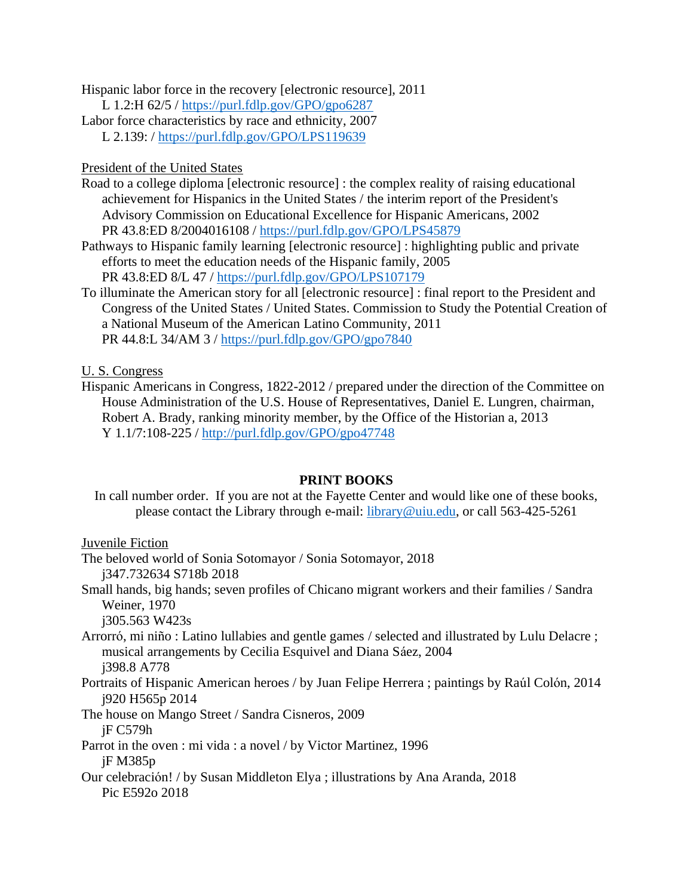Hispanic labor force in the recovery [electronic resource], 2011

- L 1.2:H 62/5 /<https://purl.fdlp.gov/GPO/gpo6287>
- Labor force characteristics by race and ethnicity, 2007
	- L 2.139: /<https://purl.fdlp.gov/GPO/LPS119639>

### President of the United States

- Road to a college diploma [electronic resource] : the complex reality of raising educational achievement for Hispanics in the United States / the interim report of the President's Advisory Commission on Educational Excellence for Hispanic Americans, 2002 PR 43.8:ED 8/2004016108 /<https://purl.fdlp.gov/GPO/LPS45879>
- Pathways to Hispanic family learning [electronic resource] : highlighting public and private efforts to meet the education needs of the Hispanic family, 2005 PR 43.8:ED 8/L 47 /<https://purl.fdlp.gov/GPO/LPS107179>
- To illuminate the American story for all [electronic resource] : final report to the President and Congress of the United States / United States. Commission to Study the Potential Creation of a National Museum of the American Latino Community, 2011 PR 44.8:L 34/AM 3 /<https://purl.fdlp.gov/GPO/gpo7840>

### U. S. Congress

Hispanic Americans in Congress, 1822-2012 / prepared under the direction of the Committee on House Administration of the U.S. House of Representatives, Daniel E. Lungren, chairman, Robert A. Brady, ranking minority member, by the Office of the Historian a, 2013 Y 1.1/7:108-225 /<http://purl.fdlp.gov/GPO/gpo47748>

### **PRINT BOOKS**

In call number order. If you are not at the Fayette Center and would like one of these books, please contact the Library through e-mail: [library@uiu.edu,](mailto:library@uiu.edu) or call 563-425-5261

#### Juvenile Fiction

- The beloved world of Sonia Sotomayor / Sonia Sotomayor, 2018 j347.732634 S718b 2018
- Small hands, big hands; seven profiles of Chicano migrant workers and their families / Sandra Weiner, 1970

j305.563 W423s

- Arrorró, mi niño : Latino lullabies and gentle games / selected and illustrated by Lulu Delacre ; musical arrangements by Cecilia Esquivel and Diana Sáez, 2004 j398.8 A778
- Portraits of Hispanic American heroes / by Juan Felipe Herrera ; paintings by Raúl Colón, 2014 j920 H565p 2014
- The house on Mango Street / Sandra Cisneros, 2009 jF C579h
- Parrot in the oven : mi vida : a novel / by Victor Martinez, 1996 jF M385p
- Our celebración! / by Susan Middleton Elya ; illustrations by Ana Aranda, 2018 Pic E592o 2018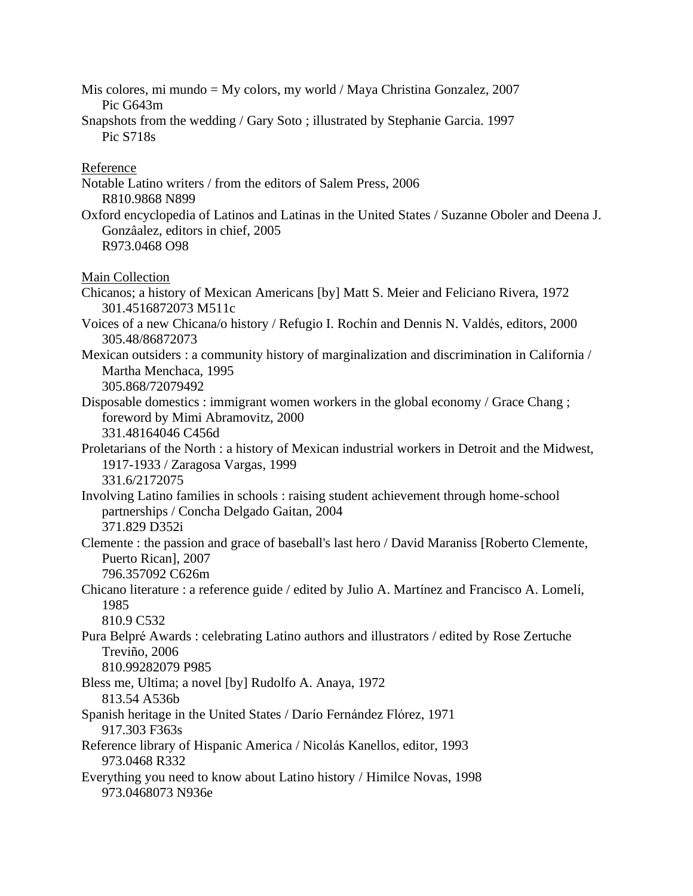Mis colores, mi mundo = My colors, my world / Maya Christina Gonzalez, 2007 Pic G643m Snapshots from the wedding / Gary Soto ; illustrated by Stephanie Garcia. 1997 Pic S718s Reference Notable Latino writers / from the editors of Salem Press, 2006 R810.9868 N899 Oxford encyclopedia of Latinos and Latinas in the United States / Suzanne Oboler and Deena J. Gonzâalez, editors in chief, 2005 R973.0468 O98 Main Collection Chicanos; a history of Mexican Americans [by] Matt S. Meier and Feliciano Rivera, 1972 301.4516872073 M511c Voices of a new Chicana/o history / Refugio I. Rochín and Dennis N. Valdés, editors, 2000 305.48/86872073 Mexican outsiders : a community history of marginalization and discrimination in California / Martha Menchaca, 1995 305.868/72079492 Disposable domestics : immigrant women workers in the global economy / Grace Chang ; foreword by Mimi Abramovitz, 2000 331.48164046 C456d Proletarians of the North : a history of Mexican industrial workers in Detroit and the Midwest, 1917-1933 / Zaragosa Vargas, 1999 331.6/2172075 Involving Latino families in schools : raising student achievement through home-school partnerships / Concha Delgado Gaitan, 2004 371.829 D352i Clemente : the passion and grace of baseball's last hero / David Maraniss [Roberto Clemente, Puerto Rican], 2007 796.357092 C626m Chicano literature : a reference guide / edited by Julio A. Martínez and Francisco A. Lomelí, 1985 810.9 C532 Pura Belpré Awards : celebrating Latino authors and illustrators / edited by Rose Zertuche Treviño, 2006 810.99282079 P985 Bless me, Ultima; a novel [by] Rudolfo A. Anaya, 1972 813.54 A536b Spanish heritage in the United States / Darío Fernández Flórez, 1971 917.303 F363s Reference library of Hispanic America / Nicolás Kanellos, editor, 1993 973.0468 R332 Everything you need to know about Latino history / Himilce Novas, 1998 973.0468073 N936e